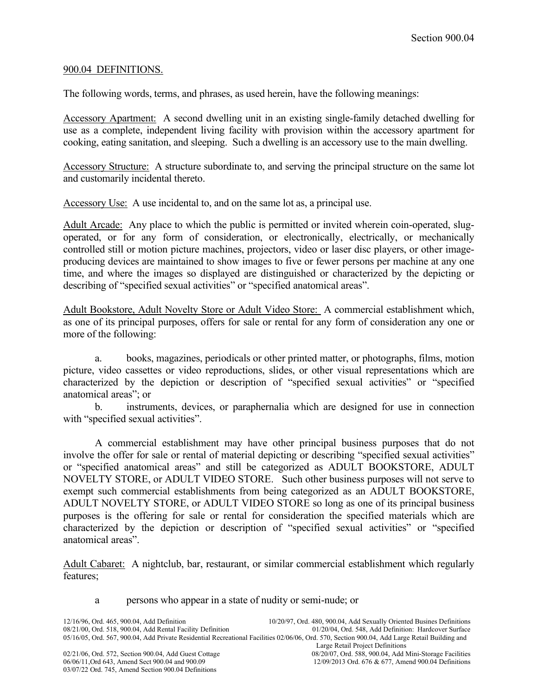## 900.04 DEFINITIONS.

The following words, terms, and phrases, as used herein, have the following meanings:

Accessory Apartment: A second dwelling unit in an existing single-family detached dwelling for use as a complete, independent living facility with provision within the accessory apartment for cooking, eating sanitation, and sleeping. Such a dwelling is an accessory use to the main dwelling.

Accessory Structure: A structure subordinate to, and serving the principal structure on the same lot and customarily incidental thereto.

Accessory Use: A use incidental to, and on the same lot as, a principal use.

Adult Arcade: Any place to which the public is permitted or invited wherein coin-operated, slugoperated, or for any form of consideration, or electronically, electrically, or mechanically controlled still or motion picture machines, projectors, video or laser disc players, or other imageproducing devices are maintained to show images to five or fewer persons per machine at any one time, and where the images so displayed are distinguished or characterized by the depicting or describing of "specified sexual activities" or "specified anatomical areas".

Adult Bookstore, Adult Novelty Store or Adult Video Store: A commercial establishment which, as one of its principal purposes, offers for sale or rental for any form of consideration any one or more of the following:

a. books, magazines, periodicals or other printed matter, or photographs, films, motion picture, video cassettes or video reproductions, slides, or other visual representations which are characterized by the depiction or description of "specified sexual activities" or "specified anatomical areas"; or

b. instruments, devices, or paraphernalia which are designed for use in connection with "specified sexual activities".

A commercial establishment may have other principal business purposes that do not involve the offer for sale or rental of material depicting or describing "specified sexual activities" or "specified anatomical areas" and still be categorized as ADULT BOOKSTORE, ADULT NOVELTY STORE, or ADULT VIDEO STORE.Such other business purposes will not serve to exempt such commercial establishments from being categorized as an ADULT BOOKSTORE, ADULT NOVELTY STORE, or ADULT VIDEO STORE so long as one of its principal business purposes is the offering for sale or rental for consideration the specified materials which are characterized by the depiction or description of "specified sexual activities" or "specified anatomical areas".

Adult Cabaret: A nightclub, bar, restaurant, or similar commercial establishment which regularly features;

## a persons who appear in a state of nudity or semi-nude; or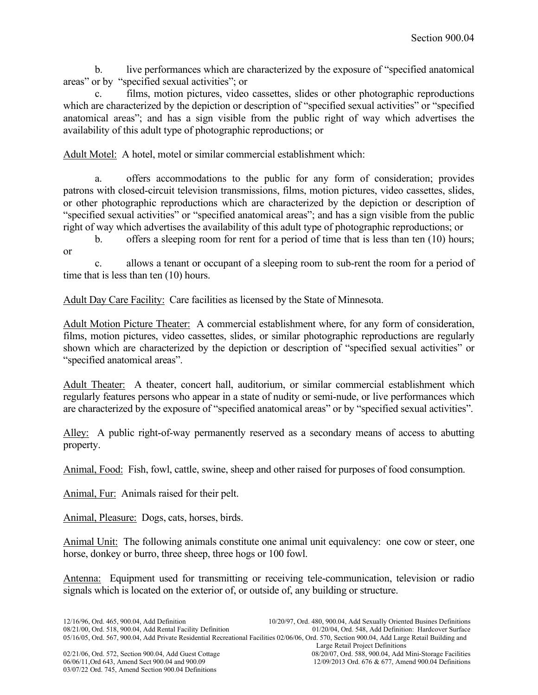b. live performances which are characterized by the exposure of "specified anatomical areas" or by "specified sexual activities"; or

c. films, motion pictures, video cassettes, slides or other photographic reproductions which are characterized by the depiction or description of "specified sexual activities" or "specified anatomical areas"; and has a sign visible from the public right of way which advertises the availability of this adult type of photographic reproductions; or

Adult Motel: A hotel, motel or similar commercial establishment which:

a. offers accommodations to the public for any form of consideration; provides patrons with closed-circuit television transmissions, films, motion pictures, video cassettes, slides, or other photographic reproductions which are characterized by the depiction or description of "specified sexual activities" or "specified anatomical areas"; and has a sign visible from the public right of way which advertises the availability of this adult type of photographic reproductions; or

b. offers a sleeping room for rent for a period of time that is less than ten (10) hours; or

c. allows a tenant or occupant of a sleeping room to sub-rent the room for a period of time that is less than ten (10) hours.

Adult Day Care Facility: Care facilities as licensed by the State of Minnesota.

Adult Motion Picture Theater: A commercial establishment where, for any form of consideration, films, motion pictures, video cassettes, slides, or similar photographic reproductions are regularly shown which are characterized by the depiction or description of "specified sexual activities" or "specified anatomical areas".

Adult Theater: A theater, concert hall, auditorium, or similar commercial establishment which regularly features persons who appear in a state of nudity or semi-nude, or live performances which are characterized by the exposure of "specified anatomical areas" or by "specified sexual activities".

Alley: A public right-of-way permanently reserved as a secondary means of access to abutting property.

Animal, Food: Fish, fowl, cattle, swine, sheep and other raised for purposes of food consumption.

Animal, Fur: Animals raised for their pelt.

Animal, Pleasure: Dogs, cats, horses, birds.

Animal Unit: The following animals constitute one animal unit equivalency: one cow or steer, one horse, donkey or burro, three sheep, three hogs or 100 fowl.

Antenna: Equipment used for transmitting or receiving tele-communication, television or radio signals which is located on the exterior of, or outside of, any building or structure.

03/07/22 Ord. 745, Amend Section 900.04 Definitions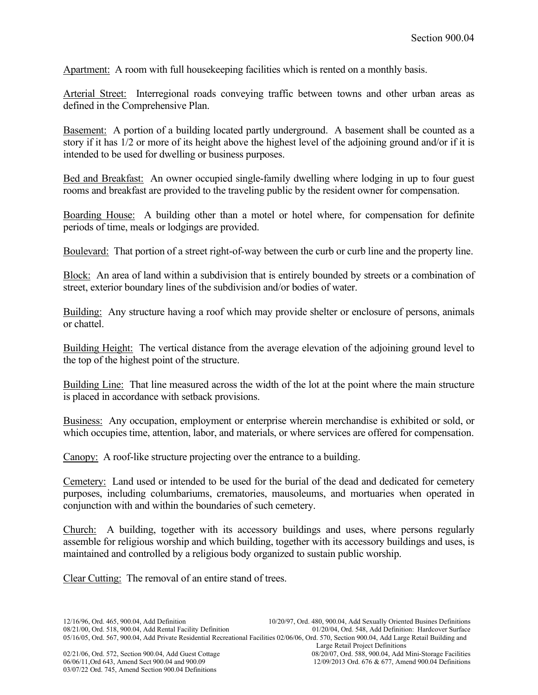Apartment: A room with full housekeeping facilities which is rented on a monthly basis.

Arterial Street: Interregional roads conveying traffic between towns and other urban areas as defined in the Comprehensive Plan.

Basement: A portion of a building located partly underground. A basement shall be counted as a story if it has 1/2 or more of its height above the highest level of the adjoining ground and/or if it is intended to be used for dwelling or business purposes.

Bed and Breakfast: An owner occupied single-family dwelling where lodging in up to four guest rooms and breakfast are provided to the traveling public by the resident owner for compensation.

Boarding House: A building other than a motel or hotel where, for compensation for definite periods of time, meals or lodgings are provided.

Boulevard: That portion of a street right-of-way between the curb or curb line and the property line.

Block: An area of land within a subdivision that is entirely bounded by streets or a combination of street, exterior boundary lines of the subdivision and/or bodies of water.

Building: Any structure having a roof which may provide shelter or enclosure of persons, animals or chattel.

Building Height: The vertical distance from the average elevation of the adjoining ground level to the top of the highest point of the structure.

Building Line: That line measured across the width of the lot at the point where the main structure is placed in accordance with setback provisions.

Business: Any occupation, employment or enterprise wherein merchandise is exhibited or sold, or which occupies time, attention, labor, and materials, or where services are offered for compensation.

Canopy: A roof-like structure projecting over the entrance to a building.

Cemetery: Land used or intended to be used for the burial of the dead and dedicated for cemetery purposes, including columbariums, crematories, mausoleums, and mortuaries when operated in conjunction with and within the boundaries of such cemetery.

Church: A building, together with its accessory buildings and uses, where persons regularly assemble for religious worship and which building, together with its accessory buildings and uses, is maintained and controlled by a religious body organized to sustain public worship.

Clear Cutting: The removal of an entire stand of trees.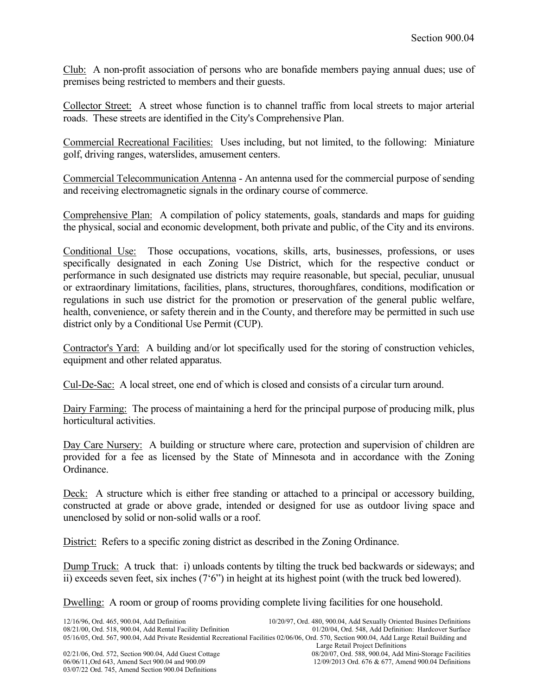Club: A non-profit association of persons who are bonafide members paying annual dues; use of premises being restricted to members and their guests.

Collector Street: A street whose function is to channel traffic from local streets to major arterial roads. These streets are identified in the City's Comprehensive Plan.

Commercial Recreational Facilities: Uses including, but not limited, to the following: Miniature golf, driving ranges, waterslides, amusement centers.

Commercial Telecommunication Antenna - An antenna used for the commercial purpose of sending and receiving electromagnetic signals in the ordinary course of commerce.

Comprehensive Plan: A compilation of policy statements, goals, standards and maps for guiding the physical, social and economic development, both private and public, of the City and its environs.

Conditional Use: Those occupations, vocations, skills, arts, businesses, professions, or uses specifically designated in each Zoning Use District, which for the respective conduct or performance in such designated use districts may require reasonable, but special, peculiar, unusual or extraordinary limitations, facilities, plans, structures, thoroughfares, conditions, modification or regulations in such use district for the promotion or preservation of the general public welfare, health, convenience, or safety therein and in the County, and therefore may be permitted in such use district only by a Conditional Use Permit (CUP).

Contractor's Yard: A building and/or lot specifically used for the storing of construction vehicles, equipment and other related apparatus.

Cul-De-Sac: A local street, one end of which is closed and consists of a circular turn around.

Dairy Farming: The process of maintaining a herd for the principal purpose of producing milk, plus horticultural activities.

Day Care Nursery: A building or structure where care, protection and supervision of children are provided for a fee as licensed by the State of Minnesota and in accordance with the Zoning Ordinance.

Deck: A structure which is either free standing or attached to a principal or accessory building, constructed at grade or above grade, intended or designed for use as outdoor living space and unenclosed by solid or non-solid walls or a roof.

District: Refers to a specific zoning district as described in the Zoning Ordinance.

Dump Truck: A truck that: i) unloads contents by tilting the truck bed backwards or sideways; and ii) exceeds seven feet, six inches (7'6") in height at its highest point (with the truck bed lowered).

Dwelling: A room or group of rooms providing complete living facilities for one household.

03/07/22 Ord. 745, Amend Section 900.04 Definitions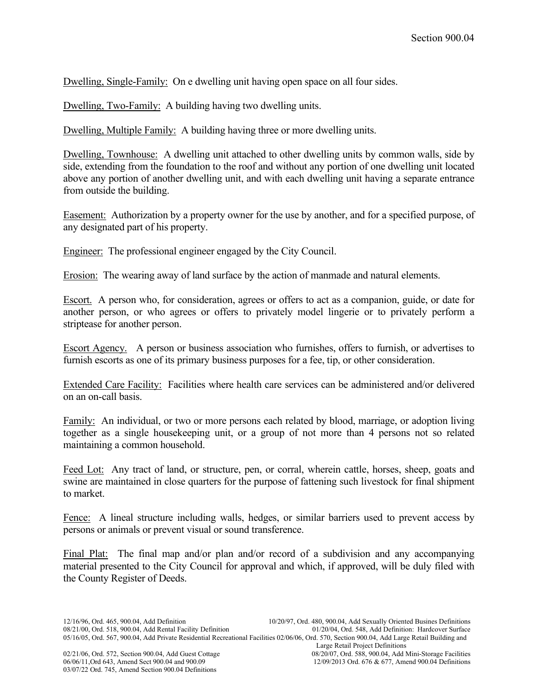Dwelling, Single-Family: On e dwelling unit having open space on all four sides.

Dwelling, Two-Family: A building having two dwelling units.

Dwelling, Multiple Family: A building having three or more dwelling units.

Dwelling, Townhouse: A dwelling unit attached to other dwelling units by common walls, side by side, extending from the foundation to the roof and without any portion of one dwelling unit located above any portion of another dwelling unit, and with each dwelling unit having a separate entrance from outside the building.

Easement: Authorization by a property owner for the use by another, and for a specified purpose, of any designated part of his property.

Engineer: The professional engineer engaged by the City Council.

Erosion: The wearing away of land surface by the action of manmade and natural elements.

Escort. A person who, for consideration, agrees or offers to act as a companion, guide, or date for another person, or who agrees or offers to privately model lingerie or to privately perform a striptease for another person.

Escort Agency. A person or business association who furnishes, offers to furnish, or advertises to furnish escorts as one of its primary business purposes for a fee, tip, or other consideration.

Extended Care Facility: Facilities where health care services can be administered and/or delivered on an on-call basis.

Family: An individual, or two or more persons each related by blood, marriage, or adoption living together as a single housekeeping unit, or a group of not more than 4 persons not so related maintaining a common household.

Feed Lot: Any tract of land, or structure, pen, or corral, wherein cattle, horses, sheep, goats and swine are maintained in close quarters for the purpose of fattening such livestock for final shipment to market.

Fence: A lineal structure including walls, hedges, or similar barriers used to prevent access by persons or animals or prevent visual or sound transference.

Final Plat: The final map and/or plan and/or record of a subdivision and any accompanying material presented to the City Council for approval and which, if approved, will be duly filed with the County Register of Deeds.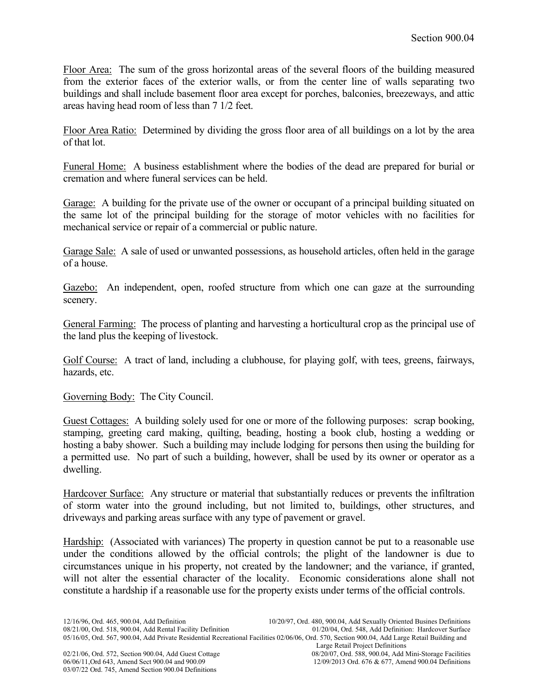Floor Area: The sum of the gross horizontal areas of the several floors of the building measured from the exterior faces of the exterior walls, or from the center line of walls separating two buildings and shall include basement floor area except for porches, balconies, breezeways, and attic areas having head room of less than 7 1/2 feet.

Floor Area Ratio: Determined by dividing the gross floor area of all buildings on a lot by the area of that lot.

Funeral Home: A business establishment where the bodies of the dead are prepared for burial or cremation and where funeral services can be held.

Garage: A building for the private use of the owner or occupant of a principal building situated on the same lot of the principal building for the storage of motor vehicles with no facilities for mechanical service or repair of a commercial or public nature.

Garage Sale: A sale of used or unwanted possessions, as household articles, often held in the garage of a house.

Gazebo: An independent, open, roofed structure from which one can gaze at the surrounding scenery.

General Farming: The process of planting and harvesting a horticultural crop as the principal use of the land plus the keeping of livestock.

Golf Course: A tract of land, including a clubhouse, for playing golf, with tees, greens, fairways, hazards, etc.

Governing Body: The City Council.

Guest Cottages: A building solely used for one or more of the following purposes: scrap booking, stamping, greeting card making, quilting, beading, hosting a book club, hosting a wedding or hosting a baby shower. Such a building may include lodging for persons then using the building for a permitted use. No part of such a building, however, shall be used by its owner or operator as a dwelling.

Hardcover Surface: Any structure or material that substantially reduces or prevents the infiltration of storm water into the ground including, but not limited to, buildings, other structures, and driveways and parking areas surface with any type of pavement or gravel.

Hardship: (Associated with variances) The property in question cannot be put to a reasonable use under the conditions allowed by the official controls; the plight of the landowner is due to circumstances unique in his property, not created by the landowner; and the variance, if granted, will not alter the essential character of the locality. Economic considerations alone shall not constitute a hardship if a reasonable use for the property exists under terms of the official controls.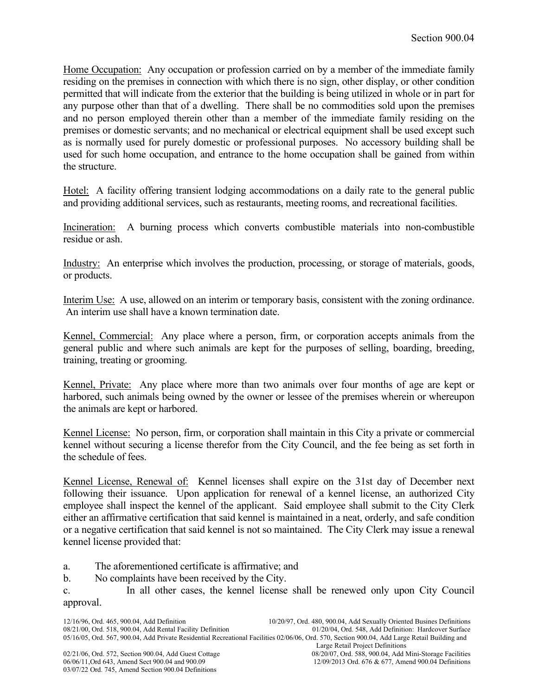Home Occupation: Any occupation or profession carried on by a member of the immediate family residing on the premises in connection with which there is no sign, other display, or other condition permitted that will indicate from the exterior that the building is being utilized in whole or in part for any purpose other than that of a dwelling. There shall be no commodities sold upon the premises and no person employed therein other than a member of the immediate family residing on the premises or domestic servants; and no mechanical or electrical equipment shall be used except such as is normally used for purely domestic or professional purposes. No accessory building shall be used for such home occupation, and entrance to the home occupation shall be gained from within the structure.

Hotel: A facility offering transient lodging accommodations on a daily rate to the general public and providing additional services, such as restaurants, meeting rooms, and recreational facilities.

Incineration: A burning process which converts combustible materials into non-combustible residue or ash.

Industry: An enterprise which involves the production, processing, or storage of materials, goods, or products.

Interim Use: A use, allowed on an interim or temporary basis, consistent with the zoning ordinance. An interim use shall have a known termination date.

Kennel, Commercial: Any place where a person, firm, or corporation accepts animals from the general public and where such animals are kept for the purposes of selling, boarding, breeding, training, treating or grooming.

Kennel, Private: Any place where more than two animals over four months of age are kept or harbored, such animals being owned by the owner or lessee of the premises wherein or whereupon the animals are kept or harbored.

Kennel License: No person, firm, or corporation shall maintain in this City a private or commercial kennel without securing a license therefor from the City Council, and the fee being as set forth in the schedule of fees.

Kennel License, Renewal of: Kennel licenses shall expire on the 31st day of December next following their issuance. Upon application for renewal of a kennel license, an authorized City employee shall inspect the kennel of the applicant. Said employee shall submit to the City Clerk either an affirmative certification that said kennel is maintained in a neat, orderly, and safe condition or a negative certification that said kennel is not so maintained. The City Clerk may issue a renewal kennel license provided that:

a. The aforementioned certificate is affirmative; and

b. No complaints have been received by the City.

c. In all other cases, the kennel license shall be renewed only upon City Council approval.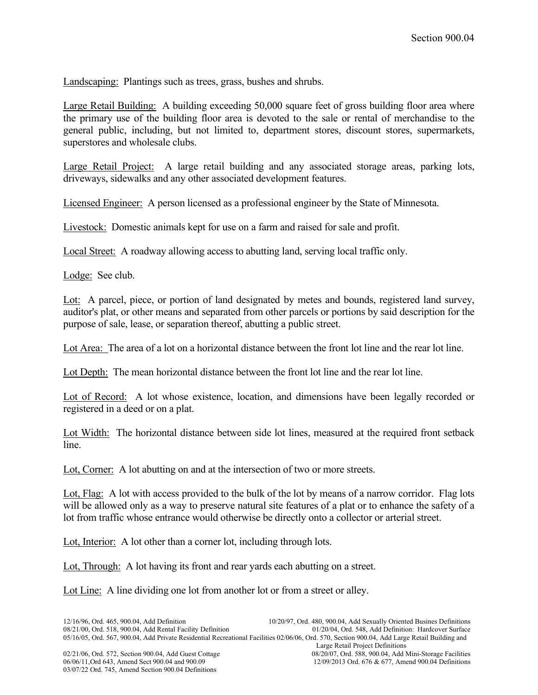Landscaping: Plantings such as trees, grass, bushes and shrubs.

Large Retail Building: A building exceeding 50,000 square feet of gross building floor area where the primary use of the building floor area is devoted to the sale or rental of merchandise to the general public, including, but not limited to, department stores, discount stores, supermarkets, superstores and wholesale clubs.

Large Retail Project: A large retail building and any associated storage areas, parking lots, driveways, sidewalks and any other associated development features.

Licensed Engineer: A person licensed as a professional engineer by the State of Minnesota.

Livestock: Domestic animals kept for use on a farm and raised for sale and profit.

Local Street: A roadway allowing access to abutting land, serving local traffic only.

Lodge: See club.

Lot: A parcel, piece, or portion of land designated by metes and bounds, registered land survey, auditor's plat, or other means and separated from other parcels or portions by said description for the purpose of sale, lease, or separation thereof, abutting a public street.

Lot Area: The area of a lot on a horizontal distance between the front lot line and the rear lot line.

Lot Depth: The mean horizontal distance between the front lot line and the rear lot line.

Lot of Record: A lot whose existence, location, and dimensions have been legally recorded or registered in a deed or on a plat.

Lot Width: The horizontal distance between side lot lines, measured at the required front setback line.

Lot, Corner: A lot abutting on and at the intersection of two or more streets.

Lot, Flag: A lot with access provided to the bulk of the lot by means of a narrow corridor. Flag lots will be allowed only as a way to preserve natural site features of a plat or to enhance the safety of a lot from traffic whose entrance would otherwise be directly onto a collector or arterial street.

Lot, Interior: A lot other than a corner lot, including through lots.

Lot, Through: A lot having its front and rear yards each abutting on a street.

Lot Line: A line dividing one lot from another lot or from a street or alley.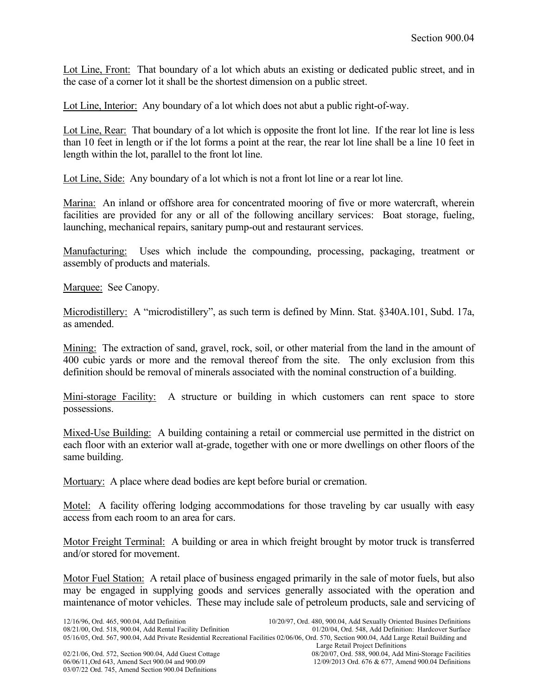Lot Line, Front: That boundary of a lot which abuts an existing or dedicated public street, and in the case of a corner lot it shall be the shortest dimension on a public street.

Lot Line, Interior: Any boundary of a lot which does not abut a public right-of-way.

Lot Line, Rear: That boundary of a lot which is opposite the front lot line. If the rear lot line is less than 10 feet in length or if the lot forms a point at the rear, the rear lot line shall be a line 10 feet in length within the lot, parallel to the front lot line.

Lot Line, Side: Any boundary of a lot which is not a front lot line or a rear lot line.

Marina: An inland or offshore area for concentrated mooring of five or more watercraft, wherein facilities are provided for any or all of the following ancillary services: Boat storage, fueling, launching, mechanical repairs, sanitary pump-out and restaurant services.

Manufacturing: Uses which include the compounding, processing, packaging, treatment or assembly of products and materials.

Marquee: See Canopy.

Microdistillery: A "microdistillery", as such term is defined by Minn. Stat. §340A.101, Subd. 17a, as amended.

Mining: The extraction of sand, gravel, rock, soil, or other material from the land in the amount of 400 cubic yards or more and the removal thereof from the site. The only exclusion from this definition should be removal of minerals associated with the nominal construction of a building.

Mini-storage Facility: A structure or building in which customers can rent space to store possessions.

Mixed-Use Building: A building containing a retail or commercial use permitted in the district on each floor with an exterior wall at-grade, together with one or more dwellings on other floors of the same building.

Mortuary: A place where dead bodies are kept before burial or cremation.

Motel: A facility offering lodging accommodations for those traveling by car usually with easy access from each room to an area for cars.

Motor Freight Terminal: A building or area in which freight brought by motor truck is transferred and/or stored for movement.

Motor Fuel Station: A retail place of business engaged primarily in the sale of motor fuels, but also may be engaged in supplying goods and services generally associated with the operation and maintenance of motor vehicles. These may include sale of petroleum products, sale and servicing of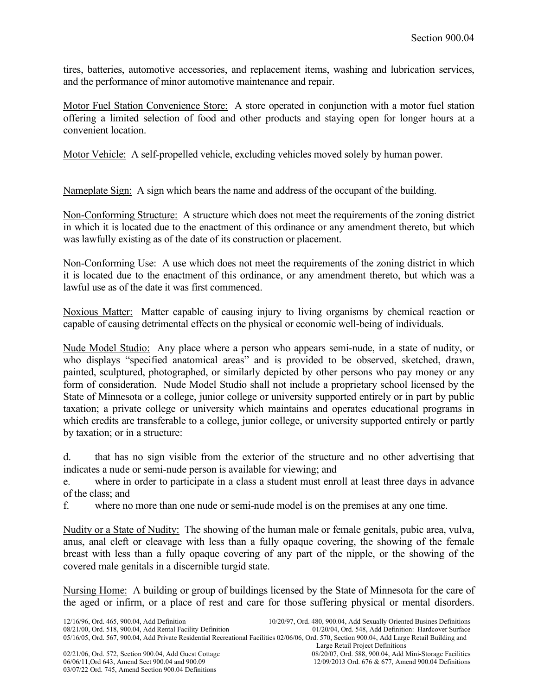tires, batteries, automotive accessories, and replacement items, washing and lubrication services, and the performance of minor automotive maintenance and repair.

Motor Fuel Station Convenience Store: A store operated in conjunction with a motor fuel station offering a limited selection of food and other products and staying open for longer hours at a convenient location.

Motor Vehicle: A self-propelled vehicle, excluding vehicles moved solely by human power.

Nameplate Sign: A sign which bears the name and address of the occupant of the building.

Non-Conforming Structure: A structure which does not meet the requirements of the zoning district in which it is located due to the enactment of this ordinance or any amendment thereto, but which was lawfully existing as of the date of its construction or placement.

Non-Conforming Use: A use which does not meet the requirements of the zoning district in which it is located due to the enactment of this ordinance, or any amendment thereto, but which was a lawful use as of the date it was first commenced.

Noxious Matter: Matter capable of causing injury to living organisms by chemical reaction or capable of causing detrimental effects on the physical or economic well-being of individuals.

Nude Model Studio: Any place where a person who appears semi-nude, in a state of nudity, or who displays "specified anatomical areas" and is provided to be observed, sketched, drawn, painted, sculptured, photographed, or similarly depicted by other persons who pay money or any form of consideration. Nude Model Studio shall not include a proprietary school licensed by the State of Minnesota or a college, junior college or university supported entirely or in part by public taxation; a private college or university which maintains and operates educational programs in which credits are transferable to a college, junior college, or university supported entirely or partly by taxation; or in a structure:

d. that has no sign visible from the exterior of the structure and no other advertising that indicates a nude or semi-nude person is available for viewing; and

e. where in order to participate in a class a student must enroll at least three days in advance of the class; and

f. where no more than one nude or semi-nude model is on the premises at any one time.

Nudity or a State of Nudity: The showing of the human male or female genitals, pubic area, vulva, anus, anal cleft or cleavage with less than a fully opaque covering, the showing of the female breast with less than a fully opaque covering of any part of the nipple, or the showing of the covered male genitals in a discernible turgid state.

Nursing Home: A building or group of buildings licensed by the State of Minnesota for the care of the aged or infirm, or a place of rest and care for those suffering physical or mental disorders.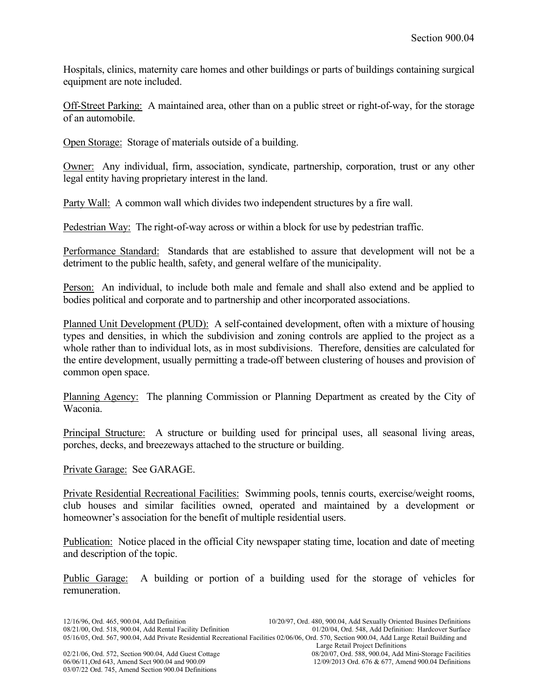Hospitals, clinics, maternity care homes and other buildings or parts of buildings containing surgical equipment are note included.

Off-Street Parking: A maintained area, other than on a public street or right-of-way, for the storage of an automobile.

Open Storage: Storage of materials outside of a building.

Owner: Any individual, firm, association, syndicate, partnership, corporation, trust or any other legal entity having proprietary interest in the land.

Party Wall: A common wall which divides two independent structures by a fire wall.

Pedestrian Way: The right-of-way across or within a block for use by pedestrian traffic.

Performance Standard: Standards that are established to assure that development will not be a detriment to the public health, safety, and general welfare of the municipality.

Person: An individual, to include both male and female and shall also extend and be applied to bodies political and corporate and to partnership and other incorporated associations.

Planned Unit Development (PUD): A self-contained development, often with a mixture of housing types and densities, in which the subdivision and zoning controls are applied to the project as a whole rather than to individual lots, as in most subdivisions. Therefore, densities are calculated for the entire development, usually permitting a trade-off between clustering of houses and provision of common open space.

Planning Agency: The planning Commission or Planning Department as created by the City of Waconia.

Principal Structure: A structure or building used for principal uses, all seasonal living areas, porches, decks, and breezeways attached to the structure or building.

Private Garage: See GARAGE.

Private Residential Recreational Facilities: Swimming pools, tennis courts, exercise/weight rooms, club houses and similar facilities owned, operated and maintained by a development or homeowner's association for the benefit of multiple residential users.

Publication: Notice placed in the official City newspaper stating time, location and date of meeting and description of the topic.

Public Garage: A building or portion of a building used for the storage of vehicles for remuneration.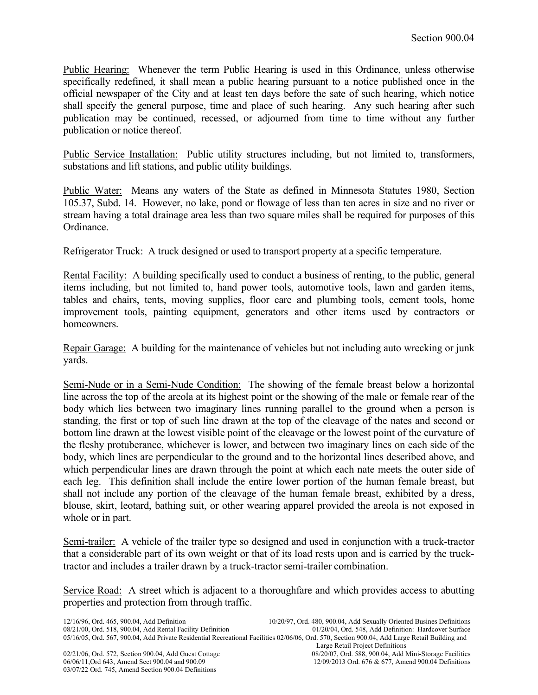Public Hearing: Whenever the term Public Hearing is used in this Ordinance, unless otherwise specifically redefined, it shall mean a public hearing pursuant to a notice published once in the official newspaper of the City and at least ten days before the sate of such hearing, which notice shall specify the general purpose, time and place of such hearing. Any such hearing after such publication may be continued, recessed, or adjourned from time to time without any further publication or notice thereof.

Public Service Installation: Public utility structures including, but not limited to, transformers, substations and lift stations, and public utility buildings.

Public Water: Means any waters of the State as defined in Minnesota Statutes 1980, Section 105.37, Subd. 14. However, no lake, pond or flowage of less than ten acres in size and no river or stream having a total drainage area less than two square miles shall be required for purposes of this Ordinance.

Refrigerator Truck: A truck designed or used to transport property at a specific temperature.

Rental Facility: A building specifically used to conduct a business of renting, to the public, general items including, but not limited to, hand power tools, automotive tools, lawn and garden items, tables and chairs, tents, moving supplies, floor care and plumbing tools, cement tools, home improvement tools, painting equipment, generators and other items used by contractors or homeowners.

Repair Garage: A building for the maintenance of vehicles but not including auto wrecking or junk yards.

Semi-Nude or in a Semi-Nude Condition: The showing of the female breast below a horizontal line across the top of the areola at its highest point or the showing of the male or female rear of the body which lies between two imaginary lines running parallel to the ground when a person is standing, the first or top of such line drawn at the top of the cleavage of the nates and second or bottom line drawn at the lowest visible point of the cleavage or the lowest point of the curvature of the fleshy protuberance, whichever is lower, and between two imaginary lines on each side of the body, which lines are perpendicular to the ground and to the horizontal lines described above, and which perpendicular lines are drawn through the point at which each nate meets the outer side of each leg. This definition shall include the entire lower portion of the human female breast, but shall not include any portion of the cleavage of the human female breast, exhibited by a dress, blouse, skirt, leotard, bathing suit, or other wearing apparel provided the areola is not exposed in whole or in part.

Semi-trailer: A vehicle of the trailer type so designed and used in conjunction with a truck-tractor that a considerable part of its own weight or that of its load rests upon and is carried by the trucktractor and includes a trailer drawn by a truck-tractor semi-trailer combination.

Service Road: A street which is adjacent to a thoroughfare and which provides access to abutting properties and protection from through traffic.

03/07/22 Ord. 745, Amend Section 900.04 Definitions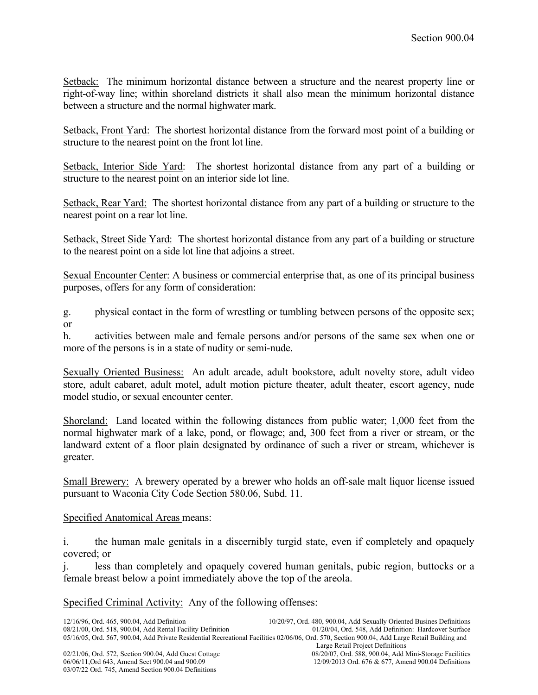Setback: The minimum horizontal distance between a structure and the nearest property line or right-of-way line; within shoreland districts it shall also mean the minimum horizontal distance between a structure and the normal highwater mark.

Setback, Front Yard: The shortest horizontal distance from the forward most point of a building or structure to the nearest point on the front lot line.

Setback, Interior Side Yard: The shortest horizontal distance from any part of a building or structure to the nearest point on an interior side lot line.

Setback, Rear Yard: The shortest horizontal distance from any part of a building or structure to the nearest point on a rear lot line.

Setback, Street Side Yard: The shortest horizontal distance from any part of a building or structure to the nearest point on a side lot line that adjoins a street.

Sexual Encounter Center: A business or commercial enterprise that, as one of its principal business purposes, offers for any form of consideration:

g. physical contact in the form of wrestling or tumbling between persons of the opposite sex; or

h. activities between male and female persons and/or persons of the same sex when one or more of the persons is in a state of nudity or semi-nude.

Sexually Oriented Business: An adult arcade, adult bookstore, adult novelty store, adult video store, adult cabaret, adult motel, adult motion picture theater, adult theater, escort agency, nude model studio, or sexual encounter center.

Shoreland: Land located within the following distances from public water; 1,000 feet from the normal highwater mark of a lake, pond, or flowage; and, 300 feet from a river or stream, or the landward extent of a floor plain designated by ordinance of such a river or stream, whichever is greater.

Small Brewery: A brewery operated by a brewer who holds an off-sale malt liquor license issued pursuant to Waconia City Code Section 580.06, Subd. 11.

## Specified Anatomical Areas means:

i. the human male genitals in a discernibly turgid state, even if completely and opaquely covered; or

j. less than completely and opaquely covered human genitals, pubic region, buttocks or a female breast below a point immediately above the top of the areola.

Specified Criminal Activity: Any of the following offenses: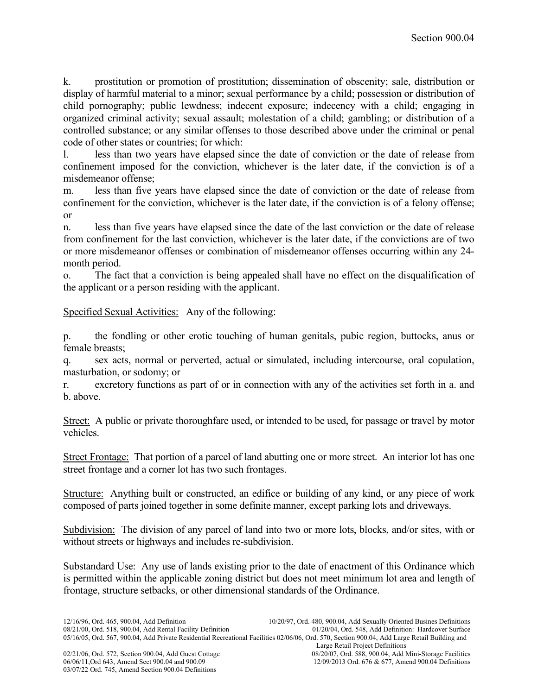k. prostitution or promotion of prostitution; dissemination of obscenity; sale, distribution or display of harmful material to a minor; sexual performance by a child; possession or distribution of child pornography; public lewdness; indecent exposure; indecency with a child; engaging in organized criminal activity; sexual assault; molestation of a child; gambling; or distribution of a controlled substance; or any similar offenses to those described above under the criminal or penal code of other states or countries; for which:

l. less than two years have elapsed since the date of conviction or the date of release from confinement imposed for the conviction, whichever is the later date, if the conviction is of a misdemeanor offense;

m. less than five years have elapsed since the date of conviction or the date of release from confinement for the conviction, whichever is the later date, if the conviction is of a felony offense; or

n. less than five years have elapsed since the date of the last conviction or the date of release from confinement for the last conviction, whichever is the later date, if the convictions are of two or more misdemeanor offenses or combination of misdemeanor offenses occurring within any 24 month period.

o. The fact that a conviction is being appealed shall have no effect on the disqualification of the applicant or a person residing with the applicant.

Specified Sexual Activities: Any of the following:

p. the fondling or other erotic touching of human genitals, pubic region, buttocks, anus or female breasts;

q. sex acts, normal or perverted, actual or simulated, including intercourse, oral copulation, masturbation, or sodomy; or

r. excretory functions as part of or in connection with any of the activities set forth in a. and b. above.

Street: A public or private thoroughfare used, or intended to be used, for passage or travel by motor vehicles.

Street Frontage: That portion of a parcel of land abutting one or more street. An interior lot has one street frontage and a corner lot has two such frontages.

Structure: Anything built or constructed, an edifice or building of any kind, or any piece of work composed of parts joined together in some definite manner, except parking lots and driveways.

Subdivision: The division of any parcel of land into two or more lots, blocks, and/or sites, with or without streets or highways and includes re-subdivision.

Substandard Use: Any use of lands existing prior to the date of enactment of this Ordinance which is permitted within the applicable zoning district but does not meet minimum lot area and length of frontage, structure setbacks, or other dimensional standards of the Ordinance.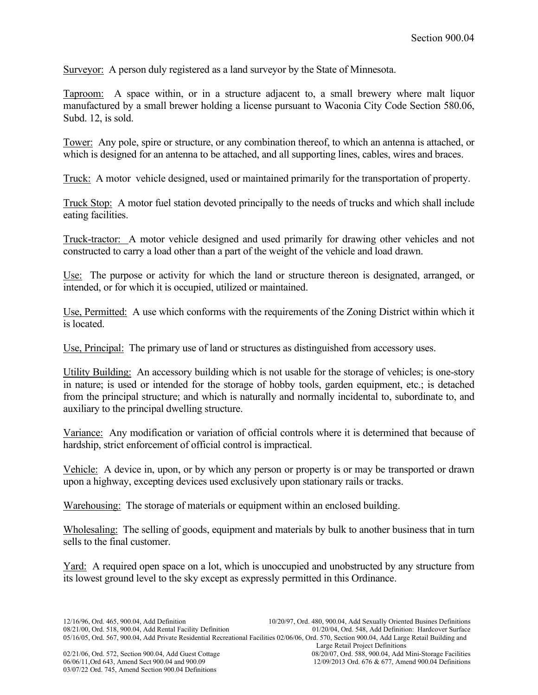Surveyor: A person duly registered as a land surveyor by the State of Minnesota.

Taproom: A space within, or in a structure adjacent to, a small brewery where malt liquor manufactured by a small brewer holding a license pursuant to Waconia City Code Section 580.06, Subd. 12, is sold.

Tower: Any pole, spire or structure, or any combination thereof, to which an antenna is attached, or which is designed for an antenna to be attached, and all supporting lines, cables, wires and braces.

Truck: A motor vehicle designed, used or maintained primarily for the transportation of property.

Truck Stop: A motor fuel station devoted principally to the needs of trucks and which shall include eating facilities.

Truck-tractor: A motor vehicle designed and used primarily for drawing other vehicles and not constructed to carry a load other than a part of the weight of the vehicle and load drawn.

Use: The purpose or activity for which the land or structure thereon is designated, arranged, or intended, or for which it is occupied, utilized or maintained.

Use, Permitted: A use which conforms with the requirements of the Zoning District within which it is located.

Use, Principal: The primary use of land or structures as distinguished from accessory uses.

Utility Building: An accessory building which is not usable for the storage of vehicles; is one-story in nature; is used or intended for the storage of hobby tools, garden equipment, etc.; is detached from the principal structure; and which is naturally and normally incidental to, subordinate to, and auxiliary to the principal dwelling structure.

Variance: Any modification or variation of official controls where it is determined that because of hardship, strict enforcement of official control is impractical.

Vehicle: A device in, upon, or by which any person or property is or may be transported or drawn upon a highway, excepting devices used exclusively upon stationary rails or tracks.

Warehousing: The storage of materials or equipment within an enclosed building.

Wholesaling: The selling of goods, equipment and materials by bulk to another business that in turn sells to the final customer.

Yard: A required open space on a lot, which is unoccupied and unobstructed by any structure from its lowest ground level to the sky except as expressly permitted in this Ordinance.